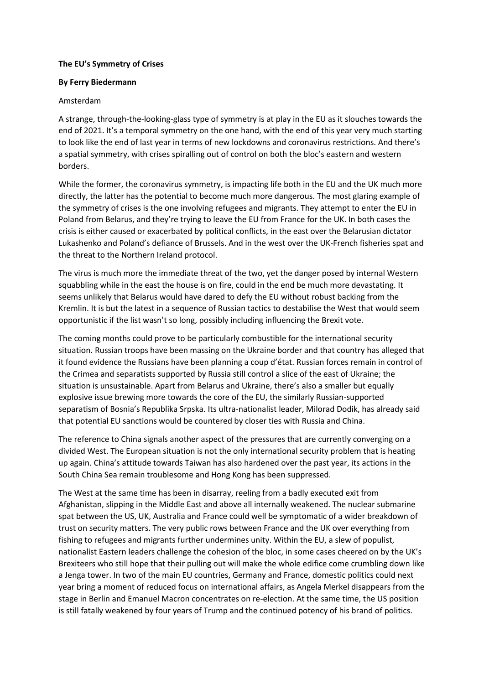## **The EU's Symmetry of Crises**

## **By Ferry Biedermann**

## Amsterdam

A strange, through-the-looking-glass type of symmetry is at play in the EU as it slouches towards the end of 2021. It's a temporal symmetry on the one hand, with the end of this year very much starting to look like the end of last year in terms of new lockdowns and coronavirus restrictions. And there's a spatial symmetry, with crises spiralling out of control on both the bloc's eastern and western borders.

While the former, the coronavirus symmetry, is impacting life both in the EU and the UK much more directly, the latter has the potential to become much more dangerous. The most glaring example of the symmetry of crises is the one involving refugees and migrants. They attempt to enter the EU in Poland from Belarus, and they're trying to leave the EU from France for the UK. In both cases the crisis is either caused or exacerbated by political conflicts, in the east over the Belarusian dictator Lukashenko and Poland's defiance of Brussels. And in the west over the UK-French fisheries spat and the threat to the Northern Ireland protocol.

The virus is much more the immediate threat of the two, yet the danger posed by internal Western squabbling while in the east the house is on fire, could in the end be much more devastating. It seems unlikely that Belarus would have dared to defy the EU without robust backing from the Kremlin. It is but the latest in a sequence of Russian tactics to destabilise the West that would seem opportunistic if the list wasn't so long, possibly including influencing the Brexit vote.

The coming months could prove to be particularly combustible for the international security situation. Russian troops have been massing on the Ukraine border and that country has alleged that it found evidence the Russians have been planning a coup d'état. Russian forces remain in control of the Crimea and separatists supported by Russia still control a slice of the east of Ukraine; the situation is unsustainable. Apart from Belarus and Ukraine, there's also a smaller but equally explosive issue brewing more towards the core of the EU, the similarly Russian-supported separatism of Bosnia's Republika Srpska. Its ultra-nationalist leader, Milorad Dodik, has already said that potential EU sanctions would be countered by closer ties with Russia and China.

The reference to China signals another aspect of the pressures that are currently converging on a divided West. The European situation is not the only international security problem that is heating up again. China's attitude towards Taiwan has also hardened over the past year, its actions in the South China Sea remain troublesome and Hong Kong has been suppressed.

The West at the same time has been in disarray, reeling from a badly executed exit from Afghanistan, slipping in the Middle East and above all internally weakened. The nuclear submarine spat between the US, UK, Australia and France could well be symptomatic of a wider breakdown of trust on security matters. The very public rows between France and the UK over everything from fishing to refugees and migrants further undermines unity. Within the EU, a slew of populist, nationalist Eastern leaders challenge the cohesion of the bloc, in some cases cheered on by the UK's Brexiteers who still hope that their pulling out will make the whole edifice come crumbling down like a Jenga tower. In two of the main EU countries, Germany and France, domestic politics could next year bring a moment of reduced focus on international affairs, as Angela Merkel disappears from the stage in Berlin and Emanuel Macron concentrates on re-election. At the same time, the US position is still fatally weakened by four years of Trump and the continued potency of his brand of politics.